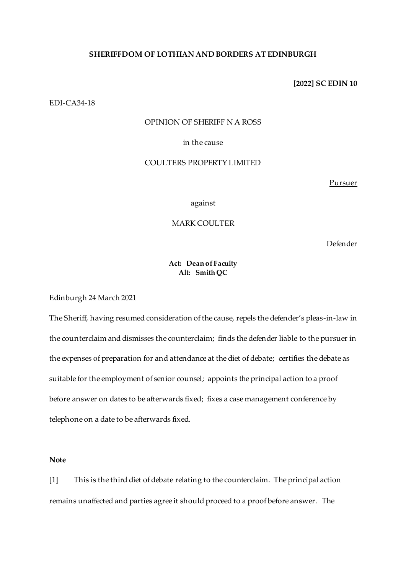### **SHERIFFDOM OF LOTHIAN AND BORDERS AT EDINBURGH**

**[2022] SC EDIN 10**

EDI-CA34-18

# OPINION OF SHERIFF N A ROSS

# in the cause

# COULTERS PROPERTY LIMITED

Pursuer

against

# MARK COULTER

Defender

## **Act: Dean of Faculty Alt: Smith QC**

Edinburgh 24 March 2021

The Sheriff, having resumed consideration of the cause, repels the defender's pleas-in-law in the counterclaim and dismisses the counterclaim; finds the defender liable to the pursuer in the expenses of preparation for and attendance at the diet of debate; certifies the debate as suitable for the employment of senior counsel; appoints the principal action to a proof before answer on dates to be afterwards fixed; fixes a case management conference by telephone on a date to be afterwards fixed.

# **Note**

[1] This is the third diet of debate relating to the counterclaim. The principal action remains unaffected and parties agree it should proceed to a proof before answer. The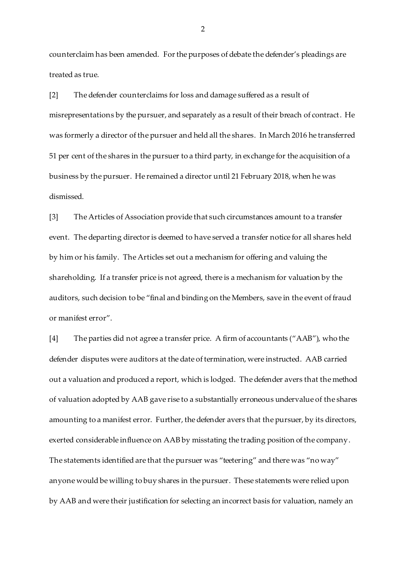counterclaim has been amended. For the purposes of debate the defender's pleadings are treated as true.

[2] The defender counterclaims for loss and damage suffered as a result of misrepresentations by the pursuer, and separately as a result of their breach of contract. He was formerly a director of the pursuer and held all the shares. In March 2016 he transferred 51 per cent of the shares in the pursuer to a third party, in exchange for the acquisition of a business by the pursuer. He remained a director until 21 February 2018, when he was dismissed.

[3] The Articles of Association provide that such circumstances amount to a transfer event. The departing director is deemed to have served a transfer notice for all shares held by him or his family. The Articles set out a mechanism for offering and valuing the shareholding. If a transfer price is not agreed, there is a mechanism for valuation by the auditors, such decision to be "final and binding on the Members, save in the event of fraud or manifest error".

[4] The parties did not agree a transfer price. A firm of accountants ("AAB"), who the defender disputes were auditors at the date of termination, were instructed. AAB carried out a valuation and produced a report, which is lodged. The defender avers that the method of valuation adopted by AAB gave rise to a substantially erroneous undervalue of the shares amounting to a manifest error. Further, the defender avers that the pursuer, by its directors, exerted considerable influence on AAB by misstating the trading position of the company. The statements identified are that the pursuer was "teetering" and there was "no way" anyone would be willing to buy shares in the pursuer. These statements were relied upon by AAB and were their justification for selecting an incorrect basis for valuation, namely an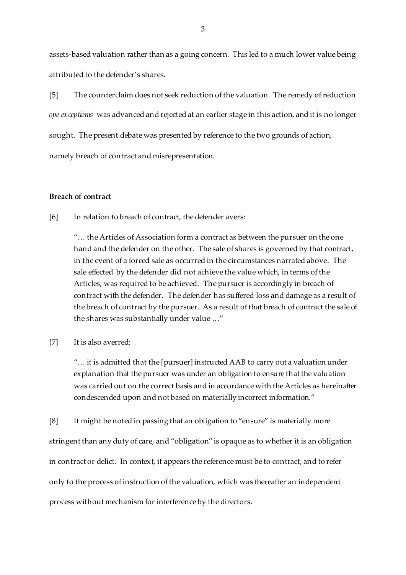assets-based valuation rather than as a going concern. This led to a much lower value being attributed to the defender's shares.

[5] The counterclaim does not seek reduction of the valuation. The remedy of reduction *ope exceptionis* was advanced and rejected at an earlier stage in this action, and it is no longer sought. The present debate was presented by reference to the two grounds of action, namely breach of contract and misrepresentation.

# **Breach of contract**

[6] In relation to breach of contract, the defender avers:

"… the Articles of Association form a contract as between the pursuer on the one hand and the defender on the other. The sale of shares is governed by that contract, in the event of a forced sale as occurred in the circumstances narrated above. The sale effected by the defender did not achieve the value which, in terms of the Articles, was required to be achieved. The pursuer is accordingly in breach of contract with the defender. The defender has suffered loss and damage as a result of the breach of contract by the pursuer. As a result of that breach of contract the sale of the shares was substantially under value …"

## [7] It is also averred:

"… it is admitted that the [pursuer] instructed AAB to carry out a valuation under explanation that the pursuer was under an obligation to ensure that the valuation was carried out on the correct basis and in accordance with the Articles as hereinafter condescended upon and not based on materially incorrect information."

[8] It might be noted in passing that an obligation to "ensure" is materially more stringent than any duty of care, and "obligation" is opaque as to whether it is an obligation in contract or delict. In context, it appears the reference must be to contract, and to refer only to the process of instruction of the valuation, which was thereafter an independent process without mechanism for interference by the directors.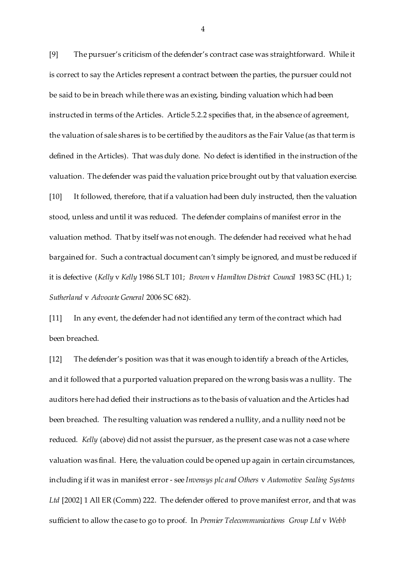[9] The pursuer's criticism of the defender's contract case was straightforward. While it is correct to say the Articles represent a contract between the parties, the pursuer could not be said to be in breach while there was an existing, binding valuation which had been instructed in terms of the Articles. Article 5.2.2 specifies that, in the absence of agreement, the valuation of sale shares is to be certified by the auditors as the Fair Value (as that term is defined in the Articles). That was duly done. No defect is identified in the instruction of the valuation. The defender was paid the valuation price brought out by that valuation exercise. [10] It followed, therefore, that if a valuation had been duly instructed, then the valuation stood, unless and until it was reduced. The defender complains of manifest error in the valuation method. That by itself was not enough. The defender had received what he had bargained for. Such a contractual document can't simply be ignored, and must be reduced if it is defective (*Kelly* v *Kelly* 1986 SLT 101; *Brown* v *Hamilton District Council* 1983 SC (HL) 1; *Sutherland* v *Advocate General* 2006 SC 682).

[11] In any event, the defender had not identified any term of the contract which had been breached.

[12] The defender's position was that it was enough to identify a breach of the Articles, and it followed that a purported valuation prepared on the wrong basis was a nullity. The auditors here had defied their instructions as to the basis of valuation and the Articles had been breached. The resulting valuation was rendered a nullity, and a nullity need not be reduced. *Kelly* (above) did not assist the pursuer, as the present case was not a case where valuation was final. Here, the valuation could be opened up again in certain circumstances, including if it was in manifest error - see *Invensys plc and Others* v *Automotive Sealing Systems Ltd* [2002] 1 All ER (Comm) 222. The defender offered to prove manifest error, and that was sufficient to allow the case to go to proof. In *Premier Telecommunications Group Ltd* v *Webb*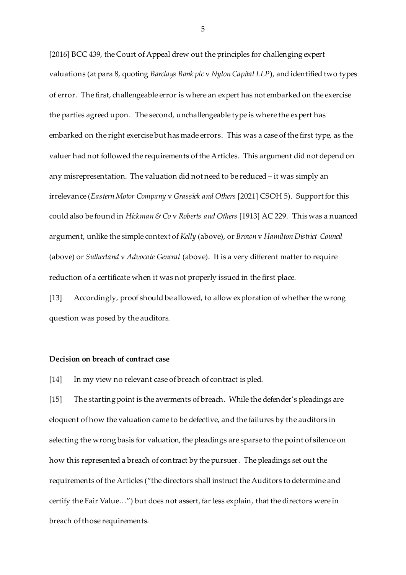[2016] BCC 439, the Court of Appeal drew out the principles for challenging expert valuations (at para 8, quoting *Barclays Bank plc* v *Nylon Capital LLP*), and identified two types of error. The first, challengeable error is where an expert has not embarked on the exercise the parties agreed upon. The second, unchallengeable type is where the expert has embarked on the right exercise but has made errors. This was a case of the first type, as the valuer had not followed the requirements of the Articles. This argument did not depend on any misrepresentation. The valuation did not need to be reduced – it was simply an irrelevance (*Eastern Motor Company* v *Grassick and Others* [2021] CSOH 5). Support for this could also be found in *Hickman & Co* v *Roberts and Others* [1913] AC 229. This was a nuanced argument, unlike the simple context of *Kelly* (above), or *Brown* v *Hamilton District Council* (above) or *Sutherland* v *Advocate General* (above). It is a very different matter to require reduction of a certificate when it was not properly issued in the first place.

[13] Accordingly, proof should be allowed, to allow exploration of whether the wrong question was posed by the auditors.

#### **Decision on breach of contract case**

[14] In my view no relevant case of breach of contract is pled.

[15] The starting point is the averments of breach. While the defender's pleadings are eloquent of how the valuation came to be defective, and the failures by the auditors in selecting the wrong basis for valuation, the pleadings are sparse to the point of silence on how this represented a breach of contract by the pursuer. The pleadings set out the requirements of the Articles ("the directors shall instruct the Auditors to determine and certify the Fair Value…") but does not assert, far less explain, that the directors were in breach of those requirements.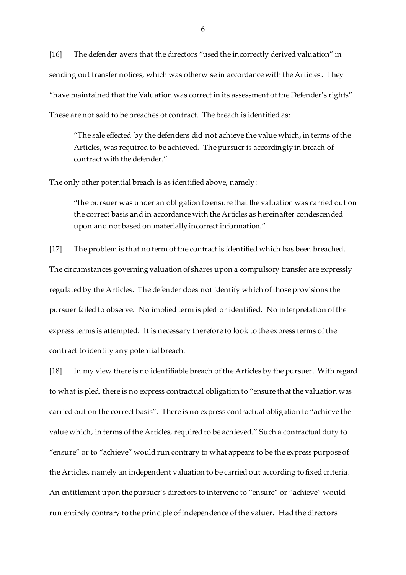[16] The defender avers that the directors "used the incorrectly derived valuation" in sending out transfer notices, which was otherwise in accordance with the Articles. They "have maintained that the Valuation was correct in its assessment of the Defender's rights". These are not said to be breaches of contract. The breach is identified as:

"The sale effected by the defenders did not achieve the value which, in terms of the Articles, was required to be achieved. The pursuer is accordingly in breach of contract with the defender."

The only other potential breach is as identified above, namely:

"the pursuer was under an obligation to ensure that the valuation was carried out on the correct basis and in accordance with the Articles as hereinafter condescended upon and not based on materially incorrect information."

[17] The problem is that no term of the contract is identified which has been breached. The circumstances governing valuation of shares upon a compulsory transfer are expressly regulated by the Articles. The defender does not identify which of those provisions the pursuer failed to observe. No implied term is pled or identified. No interpretation of the express terms is attempted. It is necessary therefore to look to the express terms of the contract to identify any potential breach.

[18] In my view there is no identifiable breach of the Articles by the pursuer. With regard to what is pled, there is no express contractual obligation to "ensure that the valuation was carried out on the correct basis". There is no express contractual obligation to "achieve the value which, in terms of the Articles, required to be achieved." Such a contractual duty to "ensure" or to "achieve" would run contrary to what appears to be the express purpose of the Articles, namely an independent valuation to be carried out according to fixed criteria. An entitlement upon the pursuer's directors to intervene to "ensure" or "achieve" would run entirely contrary to the principle of independence of the valuer. Had the directors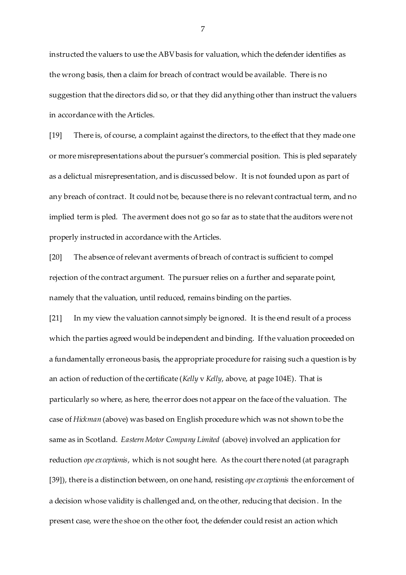instructed the valuers to use the ABV basis for valuation, which the defender identifies as the wrong basis, then a claim for breach of contract would be available. There is no suggestion that the directors did so, or that they did anything other than instruct the valuers in accordance with the Articles.

[19] There is, of course, a complaint against the directors, to the effect that they made one or more misrepresentations about the pursuer's commercial position. This is pled separately as a delictual misrepresentation, and is discussed below. It is not founded upon as part of any breach of contract. It could not be, because there is no relevant contractual term, and no implied term is pled. The averment does not go so far as to state that the auditors were not properly instructed in accordance with the Articles.

[20] The absence of relevant averments of breach of contract is sufficient to compel rejection of the contract argument. The pursuer relies on a further and separate point, namely that the valuation, until reduced, remains binding on the parties.

[21] In my view the valuation cannot simply be ignored. It is the end result of a process which the parties agreed would be independent and binding. If the valuation proceeded on a fundamentally erroneous basis, the appropriate procedure for raising such a question is by an action of reduction of the certificate (*Kelly* v *Kelly*, above, at page 104E). That is particularly so where, as here, the error does not appear on the face of the valuation. The case of *Hickman* (above) was based on English procedure which was not shown to be the same as in Scotland. *Eastern Motor Company Limited* (above) involved an application for reduction *ope exceptionis*, which is not sought here. As the court there noted (at paragraph [39]), there is a distinction between, on one hand, resisting *ope exceptionis* the enforcement of a decision whose validity is challenged and, on the other, reducing that decision. In the present case, were the shoe on the other foot, the defender could resist an action which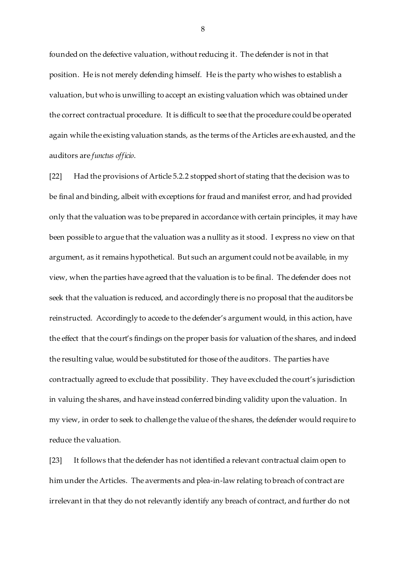founded on the defective valuation, without reducing it. The defender is not in that position. He is not merely defending himself. He is the party who wishes to establish a valuation, but who is unwilling to accept an existing valuation which was obtained under the correct contractual procedure. It is difficult to see that the procedure could be operated again while the existing valuation stands, as the terms of the Articles are exhausted, and the auditors are *functus officio*.

[22] Had the provisions of Article 5.2.2 stopped short of stating that the decision was to be final and binding, albeit with exceptions for fraud and manifest error, and had provided only that the valuation was to be prepared in accordance with certain principles, it may have been possible to argue that the valuation was a nullity as it stood. I express no view on that argument, as it remains hypothetical. But such an argument could not be available, in my view, when the parties have agreed that the valuation is to be final. The defender does not seek that the valuation is reduced, and accordingly there is no proposal that the auditors be reinstructed. Accordingly to accede to the defender's argument would, in this action, have the effect that the court's findings on the proper basis for valuation of the shares, and indeed the resulting value, would be substituted for those of the auditors. The parties have contractually agreed to exclude that possibility. They have excluded the court's jurisdiction in valuing the shares, and have instead conferred binding validity upon the valuation. In my view, in order to seek to challenge the value of the shares, the defender would require to reduce the valuation.

[23] It follows that the defender has not identified a relevant contractual claim open to him under the Articles. The averments and plea-in-law relating to breach of contract are irrelevant in that they do not relevantly identify any breach of contract, and further do not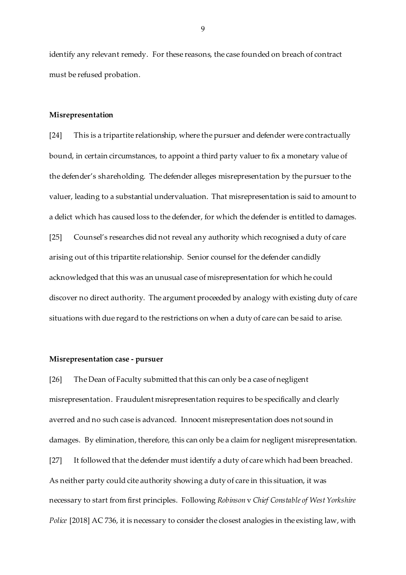identify any relevant remedy. For these reasons, the case founded on breach of contract must be refused probation.

#### **Misrepresentation**

[24] This is a tripartite relationship, where the pursuer and defender were contractually bound, in certain circumstances, to appoint a third party valuer to fix a monetary value of the defender's shareholding. The defender alleges misrepresentation by the pursuer to the valuer, leading to a substantial undervaluation. That misrepresentation is said to amount to a delict which has caused loss to the defender, for which the defender is entitled to damages. [25] Counsel's researches did not reveal any authority which recognised a duty of care arising out of this tripartite relationship. Senior counsel for the defender candidly acknowledged that this was an unusual case of misrepresentation for which he could discover no direct authority. The argument proceeded by analogy with existing duty of care situations with due regard to the restrictions on when a duty of care can be said to arise.

#### **Misrepresentation case - pursuer**

[26] The Dean of Faculty submitted that this can only be a case of negligent misrepresentation. Fraudulent misrepresentation requires to be specifically and clearly averred and no such case is advanced. Innocent misrepresentation does not sound in damages. By elimination, therefore, this can only be a claim for negligent misrepresentation. [27] It followed that the defender must identify a duty of care which had been breached. As neither party could cite authority showing a duty of care in this situation, it was necessary to start from first principles. Following *Robinson* v *Chief Constable of West Yorkshire Police* [2018] AC 736, it is necessary to consider the closest analogies in the existing law, with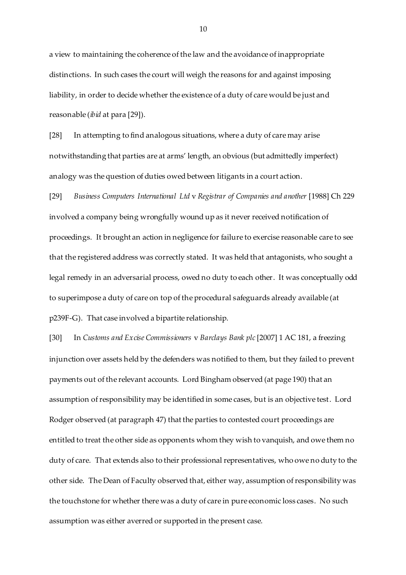a view to maintaining the coherence of the law and the avoidance of inappropriate distinctions. In such cases the court will weigh the reasons for and against imposing liability, in order to decide whether the existence of a duty of care would be just and reasonable (*ibid* at para [29]).

[28] In attempting to find analogous situations, where a duty of care may arise notwithstanding that parties are at arms' length, an obvious (but admittedly imperfect) analogy was the question of duties owed between litigants in a court action.

[29] *Business Computers International Ltd* v *Registrar of Companies and another* [1988] Ch 229 involved a company being wrongfully wound up as it never received notification of proceedings. It brought an action in negligence for failure to exercise reasonable care to see that the registered address was correctly stated. It was held that antagonists, who sought a legal remedy in an adversarial process, owed no duty to each other. It was conceptually odd to superimpose a duty of care on top of the procedural safeguards already available (at p239F-G). That case involved a bipartite relationship.

[30] In *Customs and Excise Commissioners* v *Barclays Bank plc* [2007] 1 AC 181, a freezing injunction over assets held by the defenders was notified to them, but they failed to prevent payments out of the relevant accounts. Lord Bingham observed (at page 190) that an assumption of responsibility may be identified in some cases, but is an objective test. Lord Rodger observed (at paragraph 47) that the parties to contested court proceedings are entitled to treat the other side as opponents whom they wish to vanquish, and owe them no duty of care. That extends also to their professional representatives, who owe no duty to the other side. The Dean of Faculty observed that, either way, assumption of responsibility was the touchstone for whether there was a duty of care in pure economic loss cases. No such assumption was either averred or supported in the present case.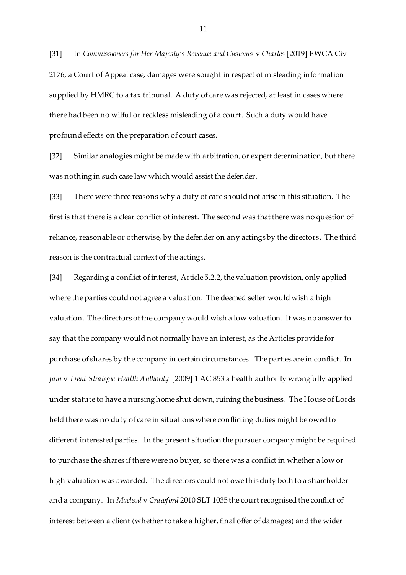[31] In *Commissioners for Her Majesty's Revenue and Customs* v *Charles* [2019] EWCA Civ 2176, a Court of Appeal case, damages were sought in respect of misleading information supplied by HMRC to a tax tribunal. A duty of care was rejected, at least in cases where there had been no wilful or reckless misleading of a court. Such a duty would have profound effects on the preparation of court cases.

[32] Similar analogies might be made with arbitration, or expert determination, but there was nothing in such case law which would assist the defender.

[33] There were three reasons why a duty of care should not arise in this situation. The first is that there is a clear conflict of interest. The second was that there was no question of reliance, reasonable or otherwise, by the defender on any actings by the directors. The third reason is the contractual context of the actings.

[34] Regarding a conflict of interest, Article 5.2.2, the valuation provision, only applied where the parties could not agree a valuation. The deemed seller would wish a high valuation. The directors of the company would wish a low valuation. It was no answer to say that the company would not normally have an interest, as the Articles provide for purchase of shares by the company in certain circumstances. The parties are in conflict. In *Jain* v *Trent Strategic Health Authority* [2009] 1 AC 853 a health authority wrongfully applied under statute to have a nursing home shut down, ruining the business. The House of Lords held there was no duty of care in situations where conflicting duties might be owed to different interested parties. In the present situation the pursuer company might be required to purchase the shares if there were no buyer, so there was a conflict in whether a low or high valuation was awarded. The directors could not owe this duty both to a shareholder and a company. In *Macleod* v *Crawford* 2010 SLT 1035 the court recognised the conflict of interest between a client (whether to take a higher, final offer of damages) and the wider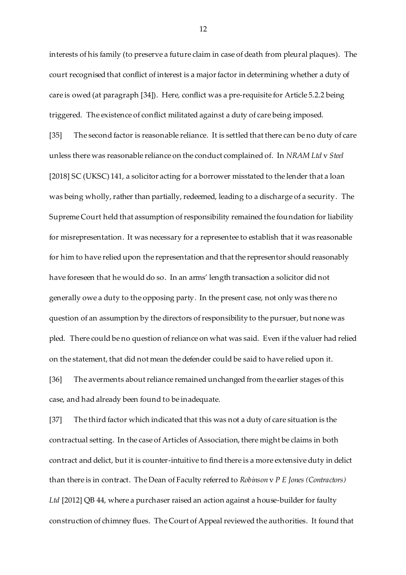interests of his family (to preserve a future claim in case of death from pleural plaques). The court recognised that conflict of interest is a major factor in determining whether a duty of care is owed (at paragraph [34]). Here, conflict was a pre-requisite for Article 5.2.2 being triggered. The existence of conflict militated against a duty of care being imposed.

[35] The second factor is reasonable reliance. It is settled that there can be no duty of care unless there was reasonable reliance on the conduct complained of. In *NRAM Ltd* v *Steel* [2018] SC (UKSC) 141, a solicitor acting for a borrower misstated to the lender that a loan was being wholly, rather than partially, redeemed, leading to a discharge of a security. The Supreme Court held that assumption of responsibility remained the foundation for liability for misrepresentation. It was necessary for a representee to establish that it was reasonable for him to have relied upon the representation and that the representor should reasonably have foreseen that he would do so. In an arms' length transaction a solicitor did not generally owe a duty to the opposing party. In the present case, not only was there no question of an assumption by the directors of responsibility to the pursuer, but none was pled. There could be no question of reliance on what was said. Even if the valuer had relied on the statement, that did not mean the defender could be said to have relied upon it.

[36] The averments about reliance remained unchanged from the earlier stages of this case, and had already been found to be inadequate.

[37] The third factor which indicated that this was not a duty of care situation is the contractual setting. In the case of Articles of Association, there might be claims in both contract and delict, but it is counter-intuitive to find there is a more extensive duty in delict than there is in contract. The Dean of Faculty referred to *Robinson* v *P E Jones (Contractors) Ltd* [2012] QB 44, where a purchaser raised an action against a house-builder for faulty construction of chimney flues. The Court of Appeal reviewed the authorities. It found that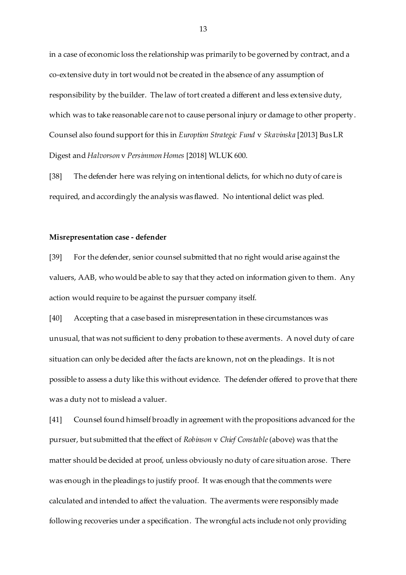in a case of economic loss the relationship was primarily to be governed by contract, and a co-extensive duty in tort would not be created in the absence of any assumption of responsibility by the builder. The law of tort created a different and less extensive duty, which was to take reasonable care not to cause personal injury or damage to other property. Counsel also found support for this in *Euroption Strategic Fund* v *Skavinska* [2013] Bus LR Digest and *Halvorson* v *Persimmon Homes* [2018] WLUK 600.

[38] The defender here was relying on intentional delicts, for which no duty of care is required, and accordingly the analysis was flawed. No intentional delict was pled.

#### **Misrepresentation case - defender**

[39] For the defender, senior counsel submitted that no right would arise against the valuers, AAB, who would be able to say that they acted on information given to them. Any action would require to be against the pursuer company itself.

[40] Accepting that a case based in misrepresentation in these circumstances was unusual, that was not sufficient to deny probation to these averments. A novel duty of care situation can only be decided after the facts are known, not on the pleadings. It is not possible to assess a duty like this without evidence. The defender offered to prove that there was a duty not to mislead a valuer.

[41] Counsel found himself broadly in agreement with the propositions advanced for the pursuer, but submitted that the effect of *Robinson* v *Chief Constable*(above) was that the matter should be decided at proof, unless obviously no duty of care situation arose. There was enough in the pleadings to justify proof. It was enough that the comments were calculated and intended to affect the valuation. The averments were responsibly made following recoveries under a specification. The wrongful acts include not only providing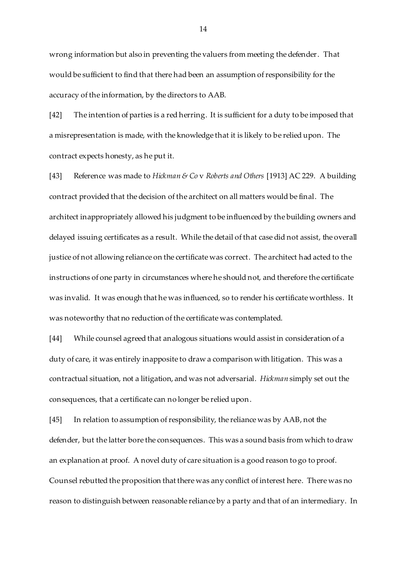wrong information but also in preventing the valuers from meeting the defender. That would be sufficient to find that there had been an assumption of responsibility for the accuracy of the information, by the directors to AAB.

[42] The intention of parties is a red herring. It is sufficient for a duty to be imposed that a misrepresentation is made, with the knowledge that it is likely to be relied upon. The contract expects honesty, as he put it.

[43] Reference was made to *Hickman & Co* v *Roberts and Others* [1913] AC 229. A building contract provided that the decision of the architect on all matters would be final. The architect inappropriately allowed his judgment to be influenced by the building owners and delayed issuing certificates as a result. While the detail of that case did not assist, the overall justice of not allowing reliance on the certificate was correct. The architect had acted to the instructions of one party in circumstances where he should not, and therefore the certificate was invalid. It was enough that he was influenced, so to render his certificate worthless. It was noteworthy that no reduction of the certificate was contemplated.

[44] While counsel agreed that analogous situations would assist in consideration of a duty of care, it was entirely inapposite to draw a comparison with litigation. This was a contractual situation, not a litigation, and was not adversarial. *Hickman* simply set out the consequences, that a certificate can no longer be relied upon.

[45] In relation to assumption of responsibility, the reliance was by AAB, not the defender, but the latter bore the consequences. This was a sound basis from which to draw an explanation at proof. A novel duty of care situation is a good reason to go to proof. Counsel rebutted the proposition that there was any conflict of interest here. There was no reason to distinguish between reasonable reliance by a party and that of an intermediary. In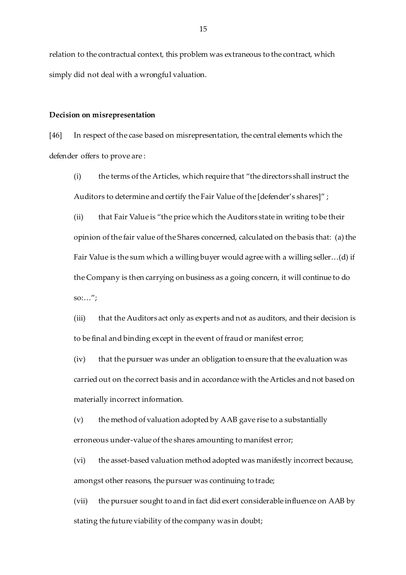relation to the contractual context, this problem was extraneous to the contract, which simply did not deal with a wrongful valuation.

#### **Decision on misrepresentation**

[46] In respect of the case based on misrepresentation, the central elements which the defender offers to prove are :

(i) the terms of the Articles, which require that "the directors shall instruct the Auditors to determine and certify the Fair Value of the [defender's shares]" ;

(ii) that Fair Value is "the price which the Auditors state in writing to be their opinion of the fair value of the Shares concerned, calculated on the basis that: (a) the Fair Value is the sum which a willing buyer would agree with a willing seller…(d) if the Company is then carrying on business as a going concern, it will continue to do  $\text{so:} \dots$ ";

(iii) that the Auditors act only as experts and not as auditors, and their decision is to be final and binding except in the event of fraud or manifest error;

(iv) that the pursuer was under an obligation to ensure that the evaluation was carried out on the correct basis and in accordance with the Articles and not based on materially incorrect information.

(v) the method of valuation adopted by AAB gave rise to a substantially erroneous under-value of the shares amounting to manifest error;

(vi) the asset-based valuation method adopted was manifestly incorrect because, amongst other reasons, the pursuer was continuing to trade;

(vii) the pursuer sought to and in fact did exert considerable influence on AAB by stating the future viability of the company was in doubt;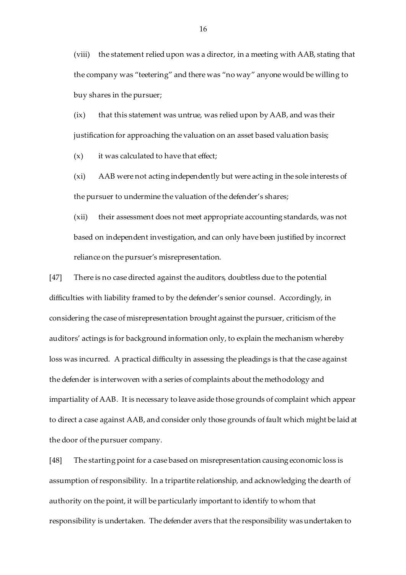(viii) the statement relied upon was a director, in a meeting with AAB, stating that the company was "teetering" and there was "no way" anyone would be willing to buy shares in the pursuer;

(ix) that this statement was untrue, was relied upon by AAB, and was their justification for approaching the valuation on an asset based valuation basis;

 $(x)$  it was calculated to have that effect;

(xi) AAB were not acting independently but were acting in the sole interests of the pursuer to undermine the valuation of the defender's shares;

(xii) their assessment does not meet appropriate accounting standards, was not based on independent investigation, and can only have been justified by incorrect reliance on the pursuer's misrepresentation.

[47] There is no case directed against the auditors, doubtless due to the potential difficulties with liability framed to by the defender's senior counsel. Accordingly, in considering the case of misrepresentation brought against the pursuer, criticism of the auditors' actings is for background information only, to explain the mechanism whereby loss was incurred. A practical difficulty in assessing the pleadings is that the case against the defender is interwoven with a series of complaints about the methodology and impartiality of AAB. It is necessary to leave aside those grounds of complaint which appear to direct a case against AAB, and consider only those grounds of fault which might be laid at the door of the pursuer company.

[48] The starting point for a case based on misrepresentation causing economic loss is assumption of responsibility. In a tripartite relationship, and acknowledging the dearth of authority on the point, it will be particularly important to identify to whom that responsibility is undertaken. The defender avers that the responsibility was undertaken to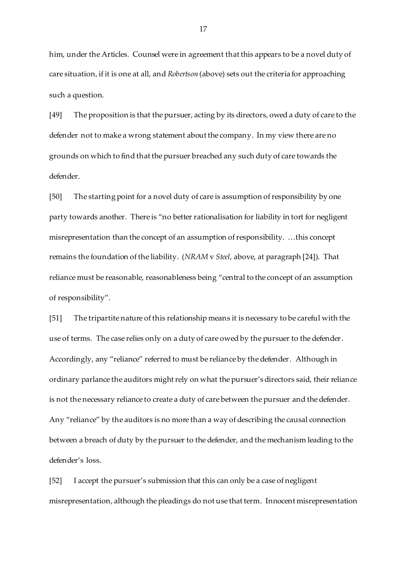him, under the Articles. Counsel were in agreement that this appears to be a novel duty of care situation, if it is one at all, and *Robertson* (above) sets out the criteria for approaching such a question.

[49] The proposition is that the pursuer, acting by its directors, owed a duty of care to the defender not to make a wrong statement about the company. In my view there are no grounds on which to find that the pursuer breached any such duty of care towards the defender.

[50] The starting point for a novel duty of care is assumption of responsibility by one party towards another. There is "no better rationalisation for liability in tort for negligent misrepresentation than the concept of an assumption of responsibility. …this concept remains the foundation of the liability. (*NRAM* v *Steel*, above, at paragraph [24]). That reliance must be reasonable, reasonableness being "central to the concept of an assumption of responsibility".

[51] The tripartite nature of this relationship means it is necessary to be careful with the use of terms. The case relies only on a duty of care owed by the pursuer to the defender. Accordingly, any "reliance" referred to must be reliance by the defender. Although in ordinary parlance the auditors might rely on what the pursuer's directors said, their reliance is not the necessary reliance to create a duty of care between the pursuer and the defender. Any "reliance" by the auditors is no more than a way of describing the causal connection between a breach of duty by the pursuer to the defender, and the mechanism leading to the defender's loss.

[52] I accept the pursuer's submission that this can only be a case of negligent misrepresentation, although the pleadings do not use that term. Innocent misrepresentation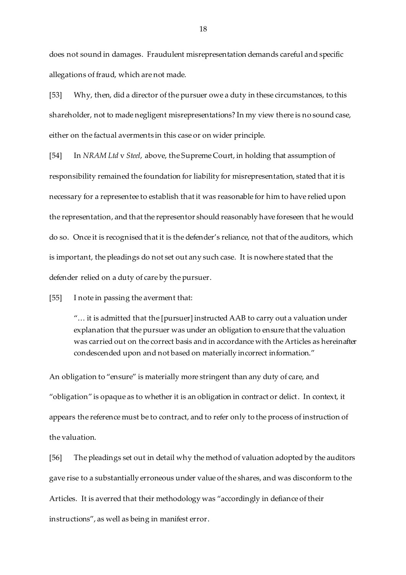does not sound in damages. Fraudulent misrepresentation demands careful and specific allegations of fraud, which are not made.

[53] Why, then, did a director of the pursuer owe a duty in these circumstances, to this shareholder, not to made negligent misrepresentations? In my view there is no sound case, either on the factual averments in this case or on wider principle.

[54] In *NRAM Ltd* v *Steel*, above, the Supreme Court, in holding that assumption of responsibility remained the foundation for liability for misrepresentation, stated that it is necessary for a representee to establish that it was reasonable for him to have relied upon the representation, and that the representor should reasonably have foreseen that he would do so. Once it is recognised that it is the defender's reliance, not that of the auditors, which is important, the pleadings do not set out any such case. It is nowhere stated that the defender relied on a duty of care by the pursuer.

[55] I note in passing the averment that:

"… it is admitted that the [pursuer] instructed AAB to carry out a valuation under explanation that the pursuer was under an obligation to ensure that the valuation was carried out on the correct basis and in accordance with the Articles as hereinafter condescended upon and not based on materially incorrect information."

An obligation to "ensure" is materially more stringent than any duty of care, and "obligation" is opaque as to whether it is an obligation in contract or delict. In context, it appears the reference must be to contract, and to refer only to the process of instruction of the valuation.

[56] The pleadings set out in detail why the method of valuation adopted by the auditors gave rise to a substantially erroneous under value of the shares, and was disconform to the Articles. It is averred that their methodology was "accordingly in defiance of their instructions", as well as being in manifest error.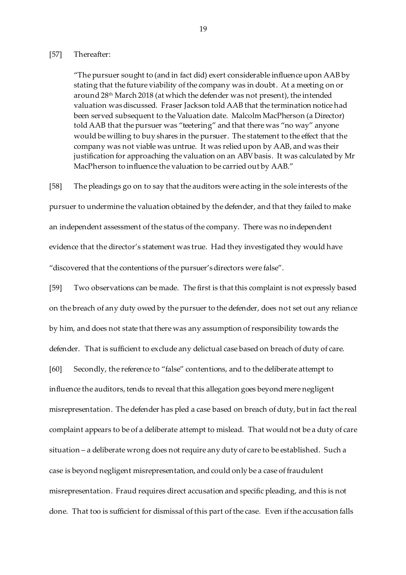#### [57] Thereafter:

"The pursuer sought to (and in fact did) exert considerable influence upon AAB by stating that the future viability of the company was in doubt. At a meeting on or around 28th March 2018 (at which the defender was not present), the intended valuation was discussed. Fraser Jackson told AAB that the termination notice had been served subsequent to the Valuation date. Malcolm MacPherson (a Director) told AAB that the pursuer was "teetering" and that there was "no way" anyone would be willing to buy shares in the pursuer. The statement to the effect that the company was not viable was untrue. It was relied upon by AAB, and was their justification for approaching the valuation on an ABV basis. It was calculated by Mr MacPherson to influence the valuation to be carried out by AAB."

[58] The pleadings go on to say that the auditors were acting in the sole interests of the pursuer to undermine the valuation obtained by the defender, and that they failed to make an independent assessment of the status of the company. There was no independent evidence that the director's statement was true. Had they investigated they would have "discovered that the contentions of the pursuer's directors were false".

[59] Two observations can be made. The first is that this complaint is not expressly based on the breach of any duty owed by the pursuer to the defender, does not set out any reliance by him, and does not state that there was any assumption of responsibility towards the defender. That is sufficient to exclude any delictual case based on breach of duty of care. [60] Secondly, the reference to "false" contentions, and to the deliberate attempt to influence the auditors, tends to reveal that this allegation goes beyond mere negligent misrepresentation. The defender has pled a case based on breach of duty, but in fact the real complaint appears to be of a deliberate attempt to mislead. That would not be a duty of care situation – a deliberate wrong does not require any duty of care to be established. Such a

misrepresentation. Fraud requires direct accusation and specific pleading, and this is not done. That too is sufficient for dismissal of this part of the case. Even if the accusation falls

case is beyond negligent misrepresentation, and could only be a case of fraudulent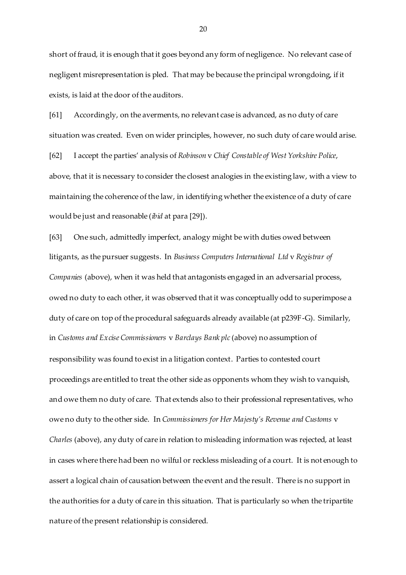short of fraud, it is enough that it goes beyond any form of negligence. No relevant case of negligent misrepresentation is pled. That may be because the principal wrongdoing, if it exists, is laid at the door of the auditors.

[61] Accordingly, on the averments, no relevant case is advanced, as no duty of care situation was created. Even on wider principles, however, no such duty of care would arise. [62] I accept the parties' analysis of *Robinson* v *Chief Constable of West Yorkshire Police*, above, that it is necessary to consider the closest analogies in the existing law, with a view to maintaining the coherence of the law, in identifying whether the existence of a duty of care would be just and reasonable (*ibid* at para [29]).

[63] One such, admittedly imperfect, analogy might be with duties owed between litigants, as the pursuer suggests. In *Business Computers International Ltd* v *Registrar of Companies* (above), when it was held that antagonists engaged in an adversarial process, owed no duty to each other, it was observed that it was conceptually odd to superimpose a duty of care on top of the procedural safeguards already available (at p239F-G). Similarly, in *Customs and Excise Commissioners* v *Barclays Bank plc* (above) no assumption of responsibility was found to exist in a litigation context. Parties to contested court proceedings are entitled to treat the other side as opponents whom they wish to vanquish, and owe them no duty of care. That extends also to their professional representatives, who owe no duty to the other side. In *Commissioners for Her Majesty's Revenue and Customs* v *Charles* (above), any duty of care in relation to misleading information was rejected, at least in cases where there had been no wilful or reckless misleading of a court. It is not enough to assert a logical chain of causation between the event and the result. There is no support in the authorities for a duty of care in this situation. That is particularly so when the tripartite nature of the present relationship is considered.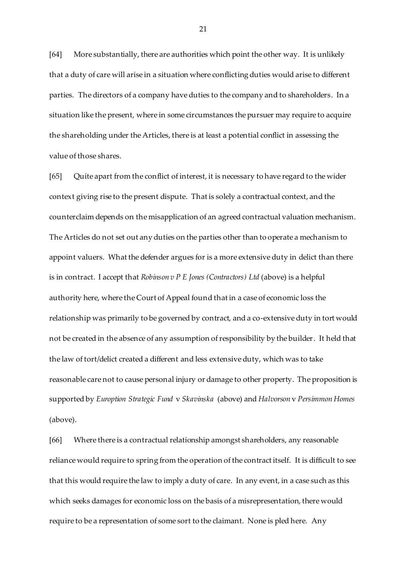[64] More substantially, there are authorities which point the other way. It is unlikely that a duty of care will arise in a situation where conflicting duties would arise to different parties. The directors of a company have duties to the company and to shareholders. In a situation like the present, where in some circumstances the pursuer may require to acquire the shareholding under the Articles, there is at least a potential conflict in assessing the value of those shares.

[65] Quite apart from the conflict of interest, it is necessary to have regard to the wider context giving rise to the present dispute. That is solely a contractual context, and the counterclaim depends on the misapplication of an agreed contractual valuation mechanism. The Articles do not set out any duties on the parties other than to operate a mechanism to appoint valuers. What the defender argues for is a more extensive duty in delict than there is in contract. I accept that *Robinson v P E Jones (Contractors) Ltd* (above) is a helpful authority here, where the Court of Appeal found that in a case of economic loss the relationship was primarily to be governed by contract, and a co-extensive duty in tort would not be created in the absence of any assumption of responsibility by the builder. It held that the law of tort/delict created a different and less extensive duty, which was to take reasonable care not to cause personal injury or damage to other property. The proposition is supported by *Euroption Strategic Fund* v *Skavinska* (above) and *Halvorson* v *Persimmon Homes* (above).

[66] Where there is a contractual relationship amongst shareholders, any reasonable reliance would require to spring from the operation of the contract itself. It is difficult to see that this would require the law to imply a duty of care. In any event, in a case such as this which seeks damages for economic loss on the basis of a misrepresentation, there would require to be a representation of some sort to the claimant. None is pled here. Any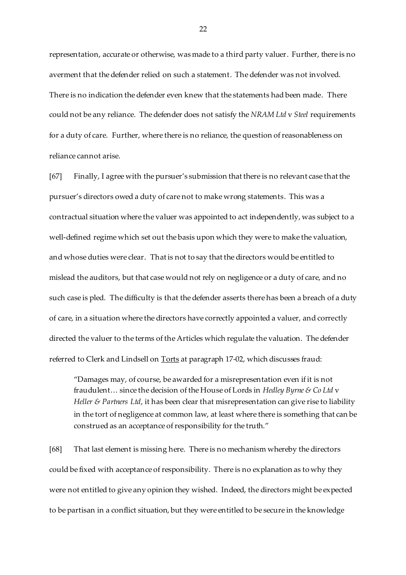representation, accurate or otherwise, was made to a third party valuer. Further, there is no averment that the defender relied on such a statement. The defender was not involved. There is no indication the defender even knew that the statements had been made. There could not be any reliance. The defender does not satisfy the *NRAM Ltd* v *Steel* requirements for a duty of care. Further, where there is no reliance, the question of reasonableness on reliance cannot arise.

[67] Finally, I agree with the pursuer's submission that there is no relevant case that the pursuer's directors owed a duty of care not to make wrong statements. This was a contractual situation where the valuer was appointed to act independently, was subject to a well-defined regime which set out the basis upon which they were to make the valuation, and whose duties were clear. That is not to say that the directors would be entitled to mislead the auditors, but that case would not rely on negligence or a duty of care, and no such case is pled. The difficulty is that the defender asserts there has been a breach of a duty of care, in a situation where the directors have correctly appointed a valuer, and correctly directed the valuer to the terms of the Articles which regulate the valuation. The defender referred to Clerk and Lindsell on Torts at paragraph 17-02, which discusses fraud:

"Damages may, of course, be awarded for a misrepresentation even if it is not fraudulent… since the decision of the House of Lords in *Hedley Byrne & Co Ltd* v *Heller & Partners Ltd,* it has been clear that misrepresentation can give rise to liability in the tort of negligence at common law, at least where there is something that can be construed as an acceptance of responsibility for the truth."

[68] That last element is missing here. There is no mechanism whereby the directors could be fixed with acceptance of responsibility. There is no explanation as to why they were not entitled to give any opinion they wished. Indeed, the directors might be expected to be partisan in a conflict situation, but they were entitled to be secure in the knowledge